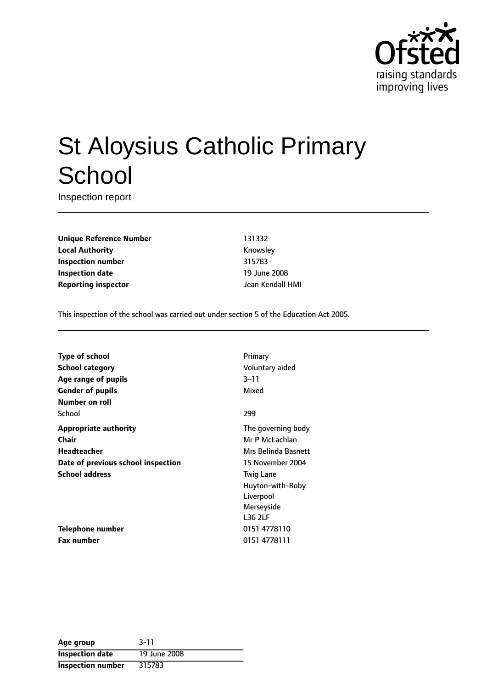

# St Aloysius Catholic Primary **School**

Inspection report

**Unique Reference Number** 131332 **Local Authority Knowsley Inspection number** 315783 **Inspection date** 19 June 2008 **Reporting inspector and all the UP** dean Kendall HMI

This inspection of the school was carried out under section 5 of the Education Act 2005.

| <b>Type of school</b><br><b>School category</b><br>Age range of pupils<br><b>Gender of pupils</b> | Primary<br>Voluntary aided<br>$3 - 11$<br>Mixed               |
|---------------------------------------------------------------------------------------------------|---------------------------------------------------------------|
| Number on roll<br>School                                                                          | 299                                                           |
| <b>Appropriate authority</b><br>Chair<br>Headteacher                                              | The governing body<br>Mr P McLachlan<br>Mrs Belinda Basnett   |
| Date of previous school inspection<br><b>School address</b>                                       | 15 November 2004<br><b>Twig Lane</b>                          |
|                                                                                                   | Huyton-with-Roby<br>Liverpool<br>Merseyside<br><b>L36 2LF</b> |
| <b>Telephone number</b>                                                                           | 0151 4778110                                                  |
| <b>Fax number</b>                                                                                 | 0151 4778111                                                  |

| Age group                | $3 - 11$     |
|--------------------------|--------------|
| <b>Inspection date</b>   | 19 June 2008 |
| <b>Inspection number</b> | 315783       |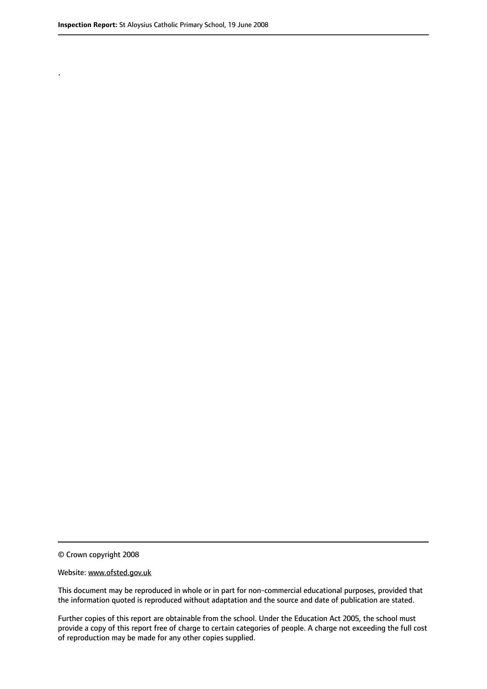.

© Crown copyright 2008

#### Website: www.ofsted.gov.uk

This document may be reproduced in whole or in part for non-commercial educational purposes, provided that the information quoted is reproduced without adaptation and the source and date of publication are stated.

Further copies of this report are obtainable from the school. Under the Education Act 2005, the school must provide a copy of this report free of charge to certain categories of people. A charge not exceeding the full cost of reproduction may be made for any other copies supplied.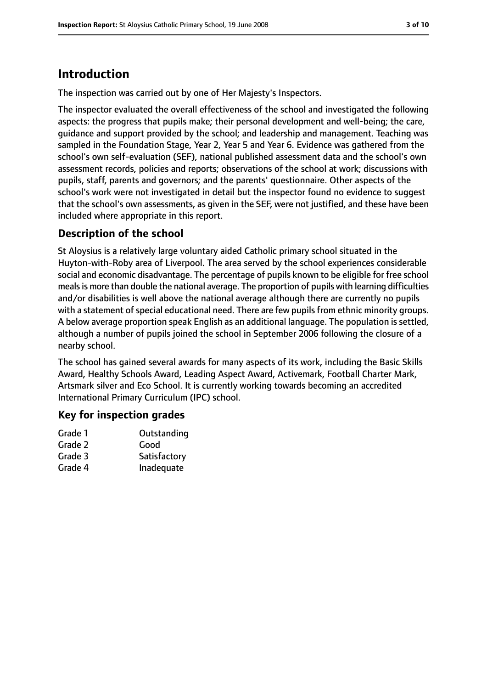# **Introduction**

The inspection was carried out by one of Her Majesty's Inspectors.

The inspector evaluated the overall effectiveness of the school and investigated the following aspects: the progress that pupils make; their personal development and well-being; the care, guidance and support provided by the school; and leadership and management. Teaching was sampled in the Foundation Stage, Year 2, Year 5 and Year 6. Evidence was gathered from the school's own self-evaluation (SEF), national published assessment data and the school's own assessment records, policies and reports; observations of the school at work; discussions with pupils, staff, parents and governors; and the parents' questionnaire. Other aspects of the school's work were not investigated in detail but the inspector found no evidence to suggest that the school's own assessments, as given in the SEF, were not justified, and these have been included where appropriate in this report.

## **Description of the school**

St Aloysius is a relatively large voluntary aided Catholic primary school situated in the Huyton-with-Roby area of Liverpool. The area served by the school experiences considerable social and economic disadvantage. The percentage of pupils known to be eligible for free school mealsis more than double the national average. The proportion of pupils with learning difficulties and/or disabilities is well above the national average although there are currently no pupils with a statement of special educational need. There are few pupils from ethnic minority groups. A below average proportion speak English as an additional language. The population is settled, although a number of pupils joined the school in September 2006 following the closure of a nearby school.

The school has gained several awards for many aspects of its work, including the Basic Skills Award, Healthy Schools Award, Leading Aspect Award, Activemark, Football Charter Mark, Artsmark silver and Eco School. It is currently working towards becoming an accredited International Primary Curriculum (IPC) school.

#### **Key for inspection grades**

| Grade 1 | Outstanding  |
|---------|--------------|
| Grade 2 | Good         |
| Grade 3 | Satisfactory |
| Grade 4 | Inadequate   |
|         |              |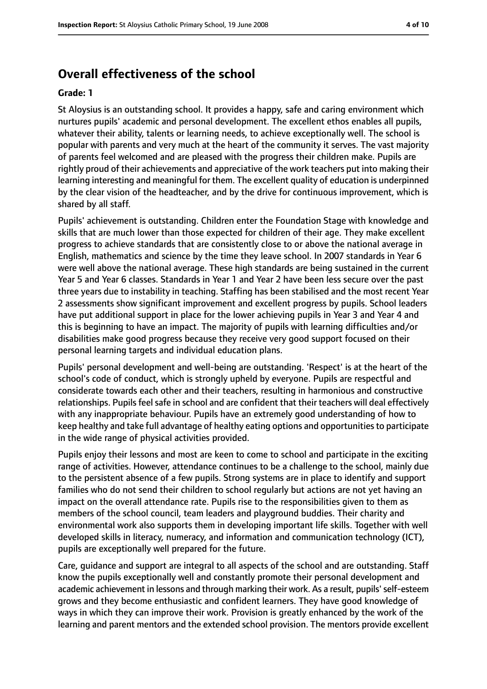## **Overall effectiveness of the school**

#### **Grade: 1**

St Aloysius is an outstanding school. It provides a happy, safe and caring environment which nurtures pupils' academic and personal development. The excellent ethos enables all pupils, whatever their ability, talents or learning needs, to achieve exceptionally well. The school is popular with parents and very much at the heart of the community it serves. The vast majority of parents feel welcomed and are pleased with the progress their children make. Pupils are rightly proud of their achievements and appreciative of the work teachers put into making their learning interesting and meaningful for them. The excellent quality of education is underpinned by the clear vision of the headteacher, and by the drive for continuous improvement, which is shared by all staff.

Pupils' achievement is outstanding. Children enter the Foundation Stage with knowledge and skills that are much lower than those expected for children of their age. They make excellent progress to achieve standards that are consistently close to or above the national average in English, mathematics and science by the time they leave school. In 2007 standards in Year 6 were well above the national average. These high standards are being sustained in the current Year 5 and Year 6 classes. Standards in Year 1 and Year 2 have been less secure over the past three years due to instability in teaching. Staffing has been stabilised and the most recent Year 2 assessments show significant improvement and excellent progress by pupils. School leaders have put additional support in place for the lower achieving pupils in Year 3 and Year 4 and this is beginning to have an impact. The majority of pupils with learning difficulties and/or disabilities make good progress because they receive very good support focused on their personal learning targets and individual education plans.

Pupils' personal development and well-being are outstanding. 'Respect' is at the heart of the school's code of conduct, which is strongly upheld by everyone. Pupils are respectful and considerate towards each other and their teachers, resulting in harmonious and constructive relationships. Pupils feel safe in school and are confident that their teachers will deal effectively with any inappropriate behaviour. Pupils have an extremely good understanding of how to keep healthy and take full advantage of healthy eating options and opportunitiesto participate in the wide range of physical activities provided.

Pupils enjoy their lessons and most are keen to come to school and participate in the exciting range of activities. However, attendance continues to be a challenge to the school, mainly due to the persistent absence of a few pupils. Strong systems are in place to identify and support families who do not send their children to school regularly but actions are not yet having an impact on the overall attendance rate. Pupils rise to the responsibilities given to them as members of the school council, team leaders and playground buddies. Their charity and environmental work also supports them in developing important life skills. Together with well developed skills in literacy, numeracy, and information and communication technology (ICT), pupils are exceptionally well prepared for the future.

Care, guidance and support are integral to all aspects of the school and are outstanding. Staff know the pupils exceptionally well and constantly promote their personal development and academic achievement in lessons and through marking their work. As a result, pupils' self-esteem grows and they become enthusiastic and confident learners. They have good knowledge of ways in which they can improve their work. Provision is greatly enhanced by the work of the learning and parent mentors and the extended school provision. The mentors provide excellent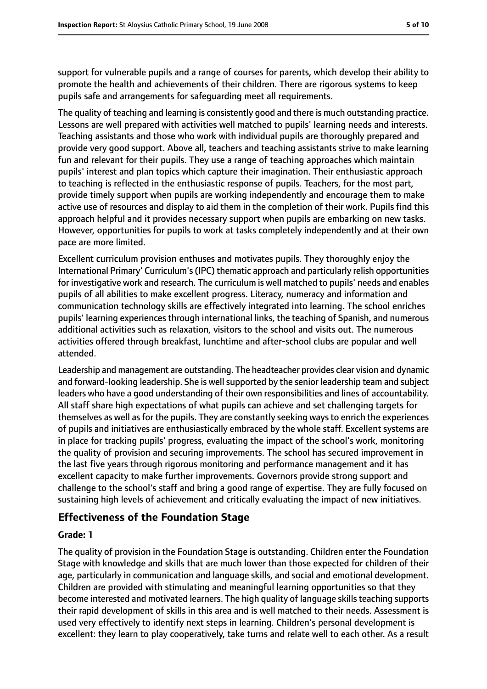support for vulnerable pupils and a range of courses for parents, which develop their ability to promote the health and achievements of their children. There are rigorous systems to keep pupils safe and arrangements for safeguarding meet all requirements.

The quality of teaching and learning is consistently good and there is much outstanding practice. Lessons are well prepared with activities well matched to pupils' learning needs and interests. Teaching assistants and those who work with individual pupils are thoroughly prepared and provide very good support. Above all, teachers and teaching assistants strive to make learning fun and relevant for their pupils. They use a range of teaching approaches which maintain pupils' interest and plan topics which capture their imagination. Their enthusiastic approach to teaching is reflected in the enthusiastic response of pupils. Teachers, for the most part, provide timely support when pupils are working independently and encourage them to make active use of resources and display to aid them in the completion of their work. Pupils find this approach helpful and it provides necessary support when pupils are embarking on new tasks. However, opportunities for pupils to work at tasks completely independently and at their own pace are more limited.

Excellent curriculum provision enthuses and motivates pupils. They thoroughly enjoy the International Primary' Curriculum's(IPC) thematic approach and particularly relish opportunities for investigative work and research. The curriculum is well matched to pupils' needs and enables pupils of all abilities to make excellent progress. Literacy, numeracy and information and communication technology skills are effectively integrated into learning. The school enriches pupils' learning experiences through international links, the teaching of Spanish, and numerous additional activities such as relaxation, visitors to the school and visits out. The numerous activities offered through breakfast, lunchtime and after-school clubs are popular and well attended.

Leadership and management are outstanding. The headteacher provides clear vision and dynamic and forward-looking leadership. She is well supported by the senior leadership team and subject leaders who have a good understanding of their own responsibilities and lines of accountability. All staff share high expectations of what pupils can achieve and set challenging targets for themselves as well as for the pupils. They are constantly seeking ways to enrich the experiences of pupils and initiatives are enthusiastically embraced by the whole staff. Excellent systems are in place for tracking pupils' progress, evaluating the impact of the school's work, monitoring the quality of provision and securing improvements. The school has secured improvement in the last five years through rigorous monitoring and performance management and it has excellent capacity to make further improvements. Governors provide strong support and challenge to the school's staff and bring a good range of expertise. They are fully focused on sustaining high levels of achievement and critically evaluating the impact of new initiatives.

#### **Effectiveness of the Foundation Stage**

#### **Grade: 1**

The quality of provision in the Foundation Stage is outstanding. Children enter the Foundation Stage with knowledge and skills that are much lower than those expected for children of their age, particularly in communication and language skills, and social and emotional development. Children are provided with stimulating and meaningful learning opportunities so that they become interested and motivated learners. The high quality of language skills teaching supports their rapid development of skills in this area and is well matched to their needs. Assessment is used very effectively to identify next steps in learning. Children's personal development is excellent: they learn to play cooperatively, take turns and relate well to each other. As a result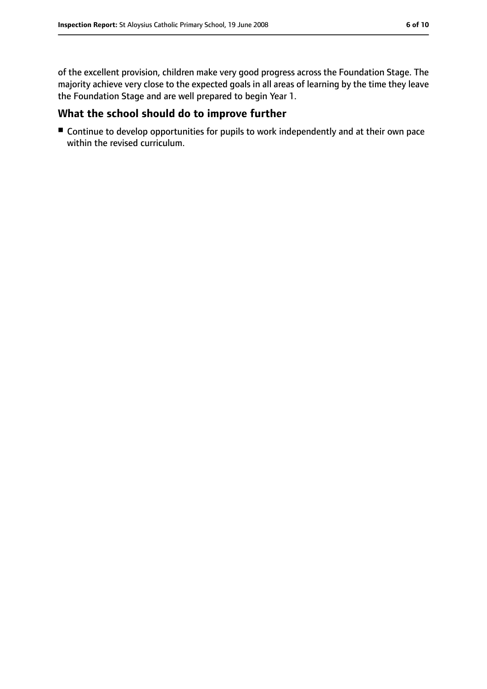of the excellent provision, children make very good progress across the Foundation Stage. The majority achieve very close to the expected goals in all areas of learning by the time they leave the Foundation Stage and are well prepared to begin Year 1.

#### **What the school should do to improve further**

■ Continue to develop opportunities for pupils to work independently and at their own pace within the revised curriculum.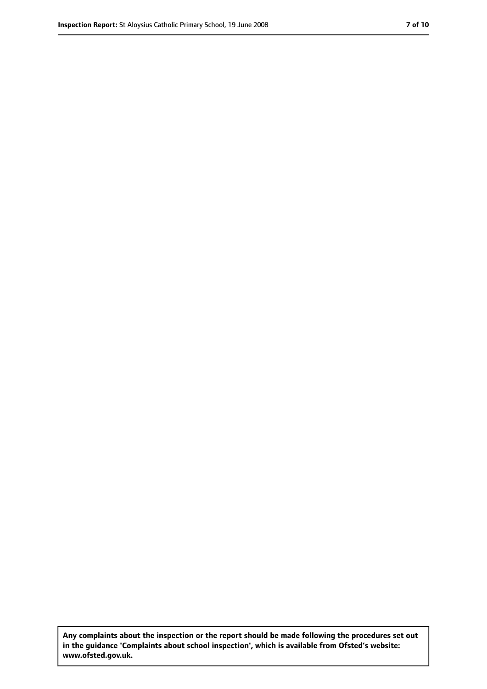**Any complaints about the inspection or the report should be made following the procedures set out in the guidance 'Complaints about school inspection', which is available from Ofsted's website: www.ofsted.gov.uk.**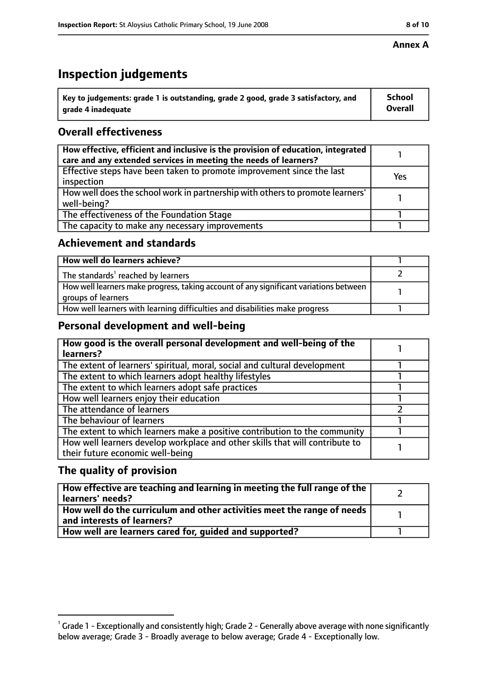## **Inspection judgements**

| $^{\backprime}$ Key to judgements: grade 1 is outstanding, grade 2 good, grade 3 satisfactory, and | <b>School</b>  |
|----------------------------------------------------------------------------------------------------|----------------|
| arade 4 inadequate                                                                                 | <b>Overall</b> |

### **Overall effectiveness**

| How effective, efficient and inclusive is the provision of education, integrated<br>care and any extended services in meeting the needs of learners? |     |
|------------------------------------------------------------------------------------------------------------------------------------------------------|-----|
| Effective steps have been taken to promote improvement since the last<br>inspection                                                                  | Yes |
| How well does the school work in partnership with others to promote learners'<br>well-being?                                                         |     |
| The effectiveness of the Foundation Stage                                                                                                            |     |
| The capacity to make any necessary improvements                                                                                                      |     |

#### **Achievement and standards**

| How well do learners achieve?                                                                               |  |
|-------------------------------------------------------------------------------------------------------------|--|
| The standards <sup>1</sup> reached by learners                                                              |  |
| How well learners make progress, taking account of any significant variations between<br>groups of learners |  |
| How well learners with learning difficulties and disabilities make progress                                 |  |

### **Personal development and well-being**

| How good is the overall personal development and well-being of the<br>learners?                                  |  |
|------------------------------------------------------------------------------------------------------------------|--|
| The extent of learners' spiritual, moral, social and cultural development                                        |  |
| The extent to which learners adopt healthy lifestyles                                                            |  |
| The extent to which learners adopt safe practices                                                                |  |
| How well learners enjoy their education                                                                          |  |
| The attendance of learners                                                                                       |  |
| The behaviour of learners                                                                                        |  |
| The extent to which learners make a positive contribution to the community                                       |  |
| How well learners develop workplace and other skills that will contribute to<br>their future economic well-being |  |

### **The quality of provision**

| How effective are teaching and learning in meeting the full range of the<br>learners' needs?          |  |
|-------------------------------------------------------------------------------------------------------|--|
| How well do the curriculum and other activities meet the range of needs<br>and interests of learners? |  |
| How well are learners cared for, quided and supported?                                                |  |

 $^1$  Grade 1 - Exceptionally and consistently high; Grade 2 - Generally above average with none significantly below average; Grade 3 - Broadly average to below average; Grade 4 - Exceptionally low.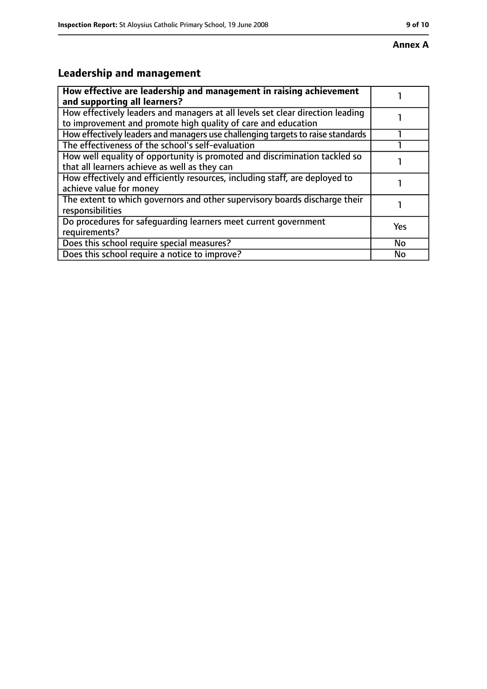# **Leadership and management**

| How effective are leadership and management in raising achievement<br>and supporting all learners?                                              |           |
|-------------------------------------------------------------------------------------------------------------------------------------------------|-----------|
| How effectively leaders and managers at all levels set clear direction leading<br>to improvement and promote high quality of care and education |           |
| How effectively leaders and managers use challenging targets to raise standards                                                                 |           |
| The effectiveness of the school's self-evaluation                                                                                               |           |
| How well equality of opportunity is promoted and discrimination tackled so<br>that all learners achieve as well as they can                     |           |
| How effectively and efficiently resources, including staff, are deployed to<br>achieve value for money                                          |           |
| The extent to which governors and other supervisory boards discharge their<br>responsibilities                                                  |           |
| Do procedures for safequarding learners meet current government<br>requirements?                                                                | Yes       |
| Does this school require special measures?                                                                                                      | <b>No</b> |
| Does this school require a notice to improve?                                                                                                   | No        |